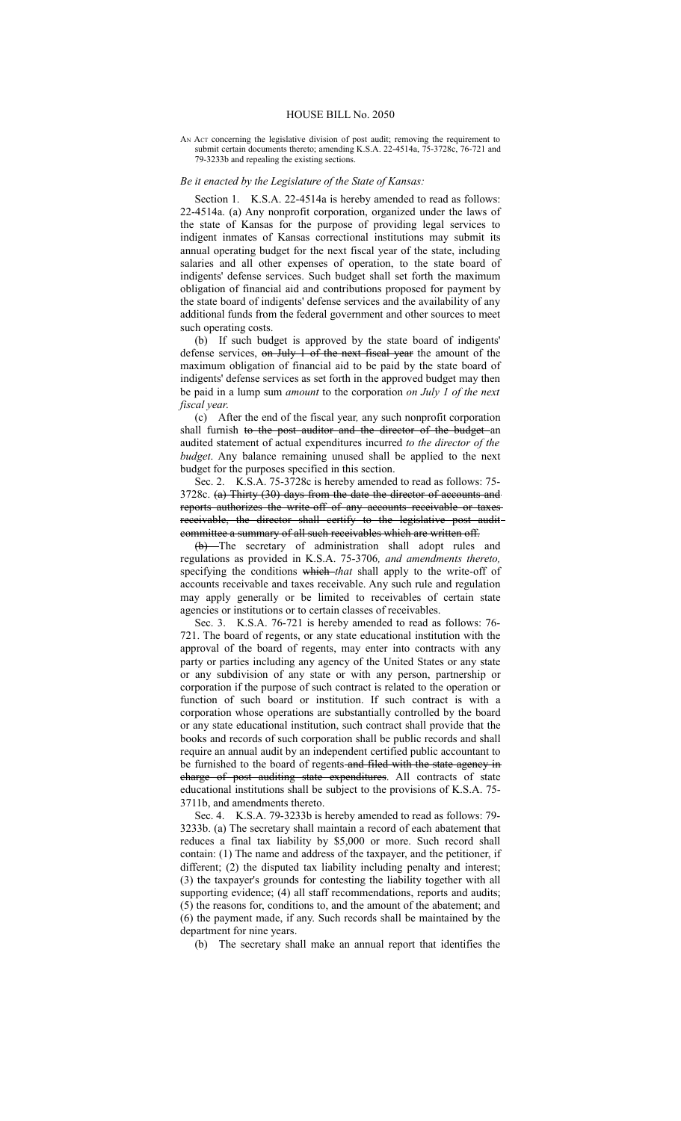## AN Act concerning the legislative division of post audit; removing the requirement to submit certain documents thereto; amending K.S.A. 22-4514a, 75-3728c, 76-721 and 79-3233b and repealing the existing sections.

## *Be it enacted by the Legislature of the State of Kansas:*

Section 1. K.S.A. 22-4514a is hereby amended to read as follows: 22-4514a. (a) Any nonprofit corporation, organized under the laws of the state of Kansas for the purpose of providing legal services to indigent inmates of Kansas correctional institutions may submit its annual operating budget for the next fiscal year of the state, including salaries and all other expenses of operation, to the state board of indigents' defense services. Such budget shall set forth the maximum obligation of financial aid and contributions proposed for payment by the state board of indigents' defense services and the availability of any additional funds from the federal government and other sources to meet such operating costs.

(b) If such budget is approved by the state board of indigents' defense services, on July 1 of the next fiscal year the amount of the maximum obligation of financial aid to be paid by the state board of indigents' defense services as set forth in the approved budget may then be paid in a lump sum *amount* to the corporation *on July 1 of the next fiscal year*.

(c) After the end of the fiscal year*,* any such nonprofit corporation shall furnish to the post auditor and the director of the budget an audited statement of actual expenditures incurred *to the director of the budget*. Any balance remaining unused shall be applied to the next budget for the purposes specified in this section.

Sec. 2. K.S.A. 75-3728c is hereby amended to read as follows: 75- 3728c. (a) Thirty (30) days from the date the director of accounts and reports authorizes the write-off of any accounts receivable or taxes receivable, the director shall certify to the legislative post audit committee a summary of all such receivables which are written off.

(b) The secretary of administration shall adopt rules and regulations as provided in K.S.A. 75-3706*, and amendments thereto,* specifying the conditions which *that* shall apply to the write-off of accounts receivable and taxes receivable. Any such rule and regulation may apply generally or be limited to receivables of certain state agencies or institutions or to certain classes of receivables.

Sec. 3. K.S.A. 76-721 is hereby amended to read as follows: 76- 721. The board of regents, or any state educational institution with the approval of the board of regents, may enter into contracts with any party or parties including any agency of the United States or any state or any subdivision of any state or with any person, partnership or corporation if the purpose of such contract is related to the operation or function of such board or institution. If such contract is with a corporation whose operations are substantially controlled by the board or any state educational institution, such contract shall provide that the books and records of such corporation shall be public records and shall require an annual audit by an independent certified public accountant to be furnished to the board of regents-and filed with the state agency in charge of post auditing state expenditures. All contracts of state educational institutions shall be subject to the provisions of K.S.A. 75- 3711b, and amendments thereto.

Sec. 4. K.S.A. 79-3233b is hereby amended to read as follows: 79- 3233b. (a) The secretary shall maintain a record of each abatement that reduces a final tax liability by \$5,000 or more. Such record shall contain: (1) The name and address of the taxpayer, and the petitioner, if different; (2) the disputed tax liability including penalty and interest; (3) the taxpayer's grounds for contesting the liability together with all supporting evidence; (4) all staff recommendations, reports and audits; (5) the reasons for, conditions to, and the amount of the abatement; and (6) the payment made, if any. Such records shall be maintained by the department for nine years.

(b) The secretary shall make an annual report that identifies the